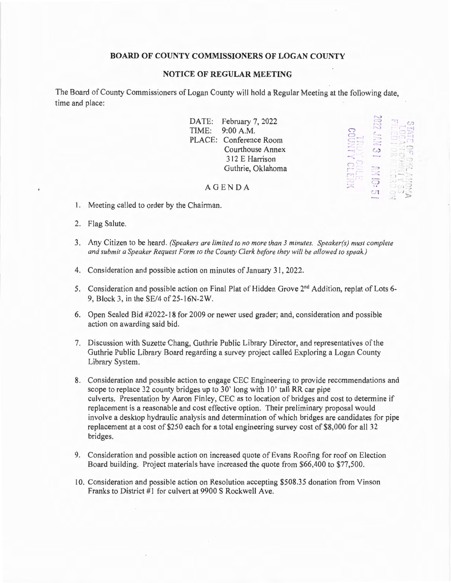## **BOARD OF COUNTY COMMISSIONERS OF LOGAN COUNTY**

## **NOTICE OF REGULAR MEETING**

The Board of County Commissioners of Logan County will hold a Regular Meeting at the following date, time and place:

|       | DATE: February 7, 2022 |          |  |
|-------|------------------------|----------|--|
| TIME: | 9:00 A.M.              |          |  |
|       | PLACE: Conference Room | -52      |  |
|       | Courthouse Annex       | $\omega$ |  |
|       | 312 E Harrison         |          |  |
|       | Guthrie, Oklahoma      |          |  |
|       |                        |          |  |

 $\mathcal{C}$ r - r .

 $\ddot{\circ}$   $\ddot{\circ}$   $\ddot{\circ}$ 

 $\sim$   $\sim$ 

## AGENDA

- I. Meeting called to order by the Chairman.
- 2. Flag Salute.
- 3. Any Citizen to be heard. *(Speakers are limited to no more than 3 minutes. Speaker(s) must complete and submit a Speaker Request Form to the County Clerk before they will be allowed to speak.)*
- 4. Consideration and possible action on minutes of January 31, 2022.
- 5. Consideration and possible action on Final Plat of Hidden Grove 2<sup>nd</sup> Addition, replat of Lots 6-9, Block 3, in the SE/4 of 25-16N-2W.
- 6. Open Sealed Bid #2022-18 for 2009 or newer used grader; and, consideration and possible action on awarding said bid.
- 7. Discussion with Suzette Chang, Guthrie Public Library Director, and representatives of the Guthrie Public Library Board regarding a survey project called Exploring a Logan County Library System.
- 8. Consideration and possible action to engage CEC Engineering to provide recommendations and scope to replace 32 county bridges up to 30' long with 10' tall RR car pipe culverts. Presentation by Aaron Finley, CEC as to location of bridges and cost to determine if replacement is a reasonable and cost effective option. Their preliminary proposal would involve a desktop hydraulic analysis and determination of which bridges are candidates for pipe replacement at a cost of \$250 each for a total engineering survey cost of \$8,000 for all 32 bridges.
- 9. Consideration and possible action on increased quote of Evans Roofing for roof on Election Board building. Project materials have increased the quote from \$66,400 to \$77,500.
- I 0. Consideration and possible action on Resolution accepting \$508.35 donation from Vinson Franks to District #1 for culvert at 9900 S Rockwell Ave.